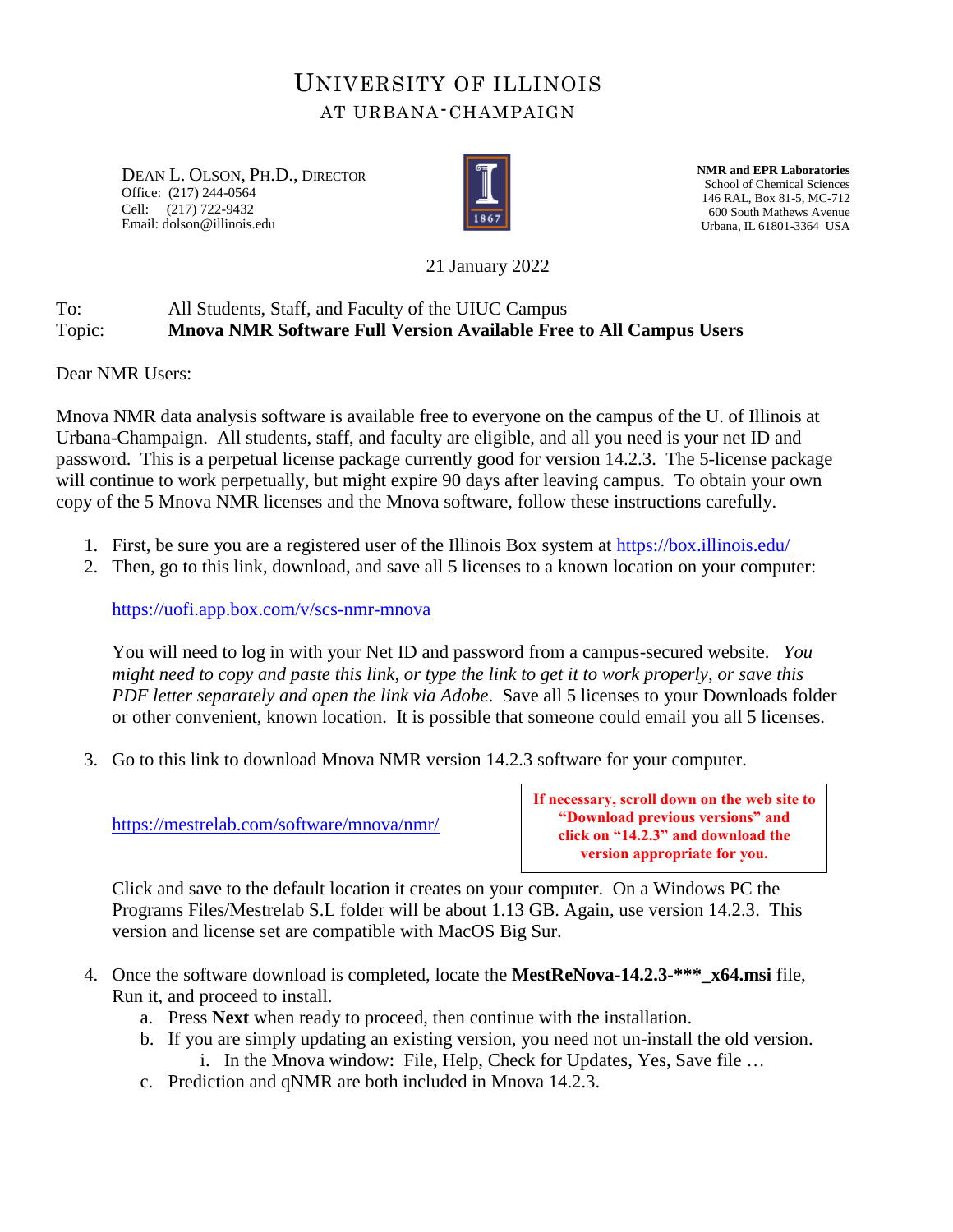## UNIVERSITY OF ILLINOIS AT URBANA-CHAMPAIGN

DEAN L. OLSON, PH.D., DIRECTOR Office: (217) 244-0564 Cell: (217) 722-9432 Email: dolson@illinois.edu



**NMR and EPR Laboratories** School of Chemical Sciences 146 RAL, Box 81-5, MC-712 600 South Mathews Avenue Urbana, IL 61801-3364 USA

21 January 2022

## To: All Students, Staff, and Faculty of the UIUC Campus Topic: **Mnova NMR Software Full Version Available Free to All Campus Users**

Dear NMR Users:

Mnova NMR data analysis software is available free to everyone on the campus of the U. of Illinois at Urbana-Champaign. All students, staff, and faculty are eligible, and all you need is your net ID and password. This is a perpetual license package currently good for version 14.2.3. The 5-license package will continue to work perpetually, but might expire 90 days after leaving campus. To obtain your own copy of the 5 Mnova NMR licenses and the Mnova software, follow these instructions carefully.

- 1. First, be sure you are a registered user of the Illinois Box system at<https://box.illinois.edu/>
- 2. Then, go to this link, download, and save all 5 licenses to a known location on your computer:

<https://uofi.app.box.com/v/scs-nmr-mnova>

You will need to log in with your Net ID and password from a campus-secured website. *You might need to copy and paste this link, or type the link to get it to work properly, or save this PDF letter separately and open the link via Adobe*. Save all 5 licenses to your Downloads folder or other convenient, known location. It is possible that someone could email you all 5 licenses.

3. Go to this link to download Mnova NMR version 14.2.3 software for your computer.

<https://mestrelab.com/software/mnova/nmr/>

**If necessary, scroll down on the web site to "Download previous versions" and click on "14.2.3" and download the version appropriate for you.**

Click and save to the default location it creates on your computer. On a Windows PC the Programs Files/Mestrelab S.L folder will be about 1.13 GB. Again, use version 14.2.3. This version and license set are compatible with MacOS Big Sur.

- 4. Once the software download is completed, locate the **MestReNova-14.2.3-\*\*\*\_x64.msi** file, Run it, and proceed to install.
	- a. Press **Next** when ready to proceed, then continue with the installation.
	- b. If you are simply updating an existing version, you need not un-install the old version.
		- i. In the Mnova window: File, Help, Check for Updates, Yes, Save file …
	- c. Prediction and qNMR are both included in Mnova 14.2.3.